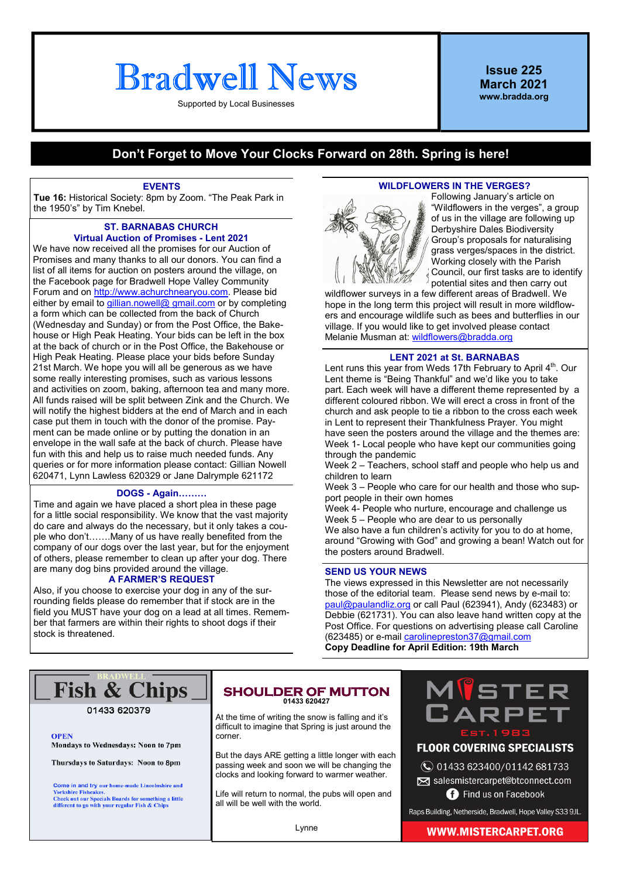# **Bradwell News**

Supported by Local Businesses

Issue 225 March 2021 www.bradda.org

#### Don't Forget to Move Your Clocks Forward on 28th. Spring is here!

#### EVENTS

Tue 16: Historical Society: 8pm by Zoom. "The Peak Park in the 1950's" by Tim Knebel.

#### ST. BARNABAS CHURCH Virtual Auction of Promises - Lent 2021

We have now received all the promises for our Auction of Promises and many thanks to all our donors. You can find a list of all items for auction on posters around the village, on the Facebook page for Bradwell Hope Valley Community Forum and on http://www.achurchnearyou.com. Please bid either by email to gillian.nowell@ gmail.com or by completing a form which can be collected from the back of Church (Wednesday and Sunday) or from the Post Office, the Bakehouse or High Peak Heating. Your bids can be left in the box at the back of church or in the Post Office, the Bakehouse or High Peak Heating. Please place your bids before Sunday 21st March. We hope you will all be generous as we have some really interesting promises, such as various lessons and activities on zoom, baking, afternoon tea and many more. All funds raised will be split between Zink and the Church. We will notify the highest bidders at the end of March and in each case put them in touch with the donor of the promise. Payment can be made online or by putting the donation in an envelope in the wall safe at the back of church. Please have fun with this and help us to raise much needed funds. Any queries or for more information please contact: Gillian Nowell 620471, Lynn Lawless 620329 or Jane Dalrymple 621172

#### DOGS - Again.........

Time and again we have placed a short plea in these page for a little social responsibility. We know that the vast majority do care and always do the necessary, but it only takes a couple who don't.......Many of us have really benefited from the company of our dogs over the last year, but for the enjoyment of others, please remember to clean up after your dog. There are many dog bins provided around the village.

#### A FARMER'S REQUEST

Also, if you choose to exercise your dog in any of the surrounding fields please do remember that if stock are in the field you MUST have your dog on a lead at all times. Remember that farmers are within their rights to shoot dogs if their stock is threatened.

#### WILDFLOWERS IN THE VERGES?



Following January's article on "Wildflowers in the verges", a group of us in the village are following up Derbyshire Dales Biodiversity Group's proposals for naturalising grass verges/spaces in the district. Working closely with the Parish Council, our first tasks are to identify potential sites and then carry out

wildflower surveys in a few different areas of Bradwell. We hope in the long term this project will result in more wildflowers and encourage wildlife such as bees and butterflies in our village. If you would like to get involved please contact Melanie Musman at: wildflowers@bradda.org

#### LENT 2021 at St. BARNABAS

Lent runs this year from Weds 17th February to April  $4<sup>th</sup>$ . Our Lent theme is "Being Thankful" and we'd like you to take part. Each week will have a different theme represented by a different coloured ribbon. We will erect a cross in front of the church and ask people to tie a ribbon to the cross each week in Lent to represent their Thankfulness Prayer. You might have seen the posters around the village and the themes are: Week 1- Local people who have kept our communities going through the pandemic

Week 2 – Teachers, school staff and people who help us and children to learn

Week 3 – People who care for our health and those who support people in their own homes

Week 4- People who nurture, encourage and challenge us Week 5 – People who are dear to us personally We also have a fun children's activity for you to do at home. around "Growing with God" and growing a bean! Watch out for the posters around Bradwell.

#### SEND US YOUR NEWS

The views expressed in this Newsletter are not necessarily those of the editorial team. Please send news by e-mail to: paul@paulandliz.org or call Paul (623941), Andy (623483) or Debbie (621731). You can also leave hand written copy at the Post Office. For questions on advertising please call Caroline (623485) or e-mail carolinepreston37@gmail.com Copy Deadline for April Edition: 19th March

### **Fish & Chips**

01433 620379

**OPEN** Mondays to Wednesdays: Noon to 7pm

Thursdays to Saturdays: Noon to 8pm

**Come in and try our home-made Lincolnshire and Yorkshire Fisheakes.**<br>The Check out our Specials Boards for something a little Check out our Specials Boards for something a little<br>different to go with your regular Fish &

#### **SHOULDER OF MUTTON** 01433 620427

At the time of writing the snow is falling and it's difficult to imagine that Spring is just around the corner.

But the days ARE getting a little longer with each passing week and soon we will be changing the clocks and looking forward to warmer weather.

Life will return to normal, the pubs will open and all will be well with the world.



#### **FLOOR COVERING SPECIALISTS**

◯ 01433 623400/01142 681733 salesmistercarpet@btconnect.com

**B** Find us on Facebook

Raps Building, Netherside, Bradwell, Hope Valley S33 9JL.

Lynne

#### **WWW.MISTERCARPET.ORG**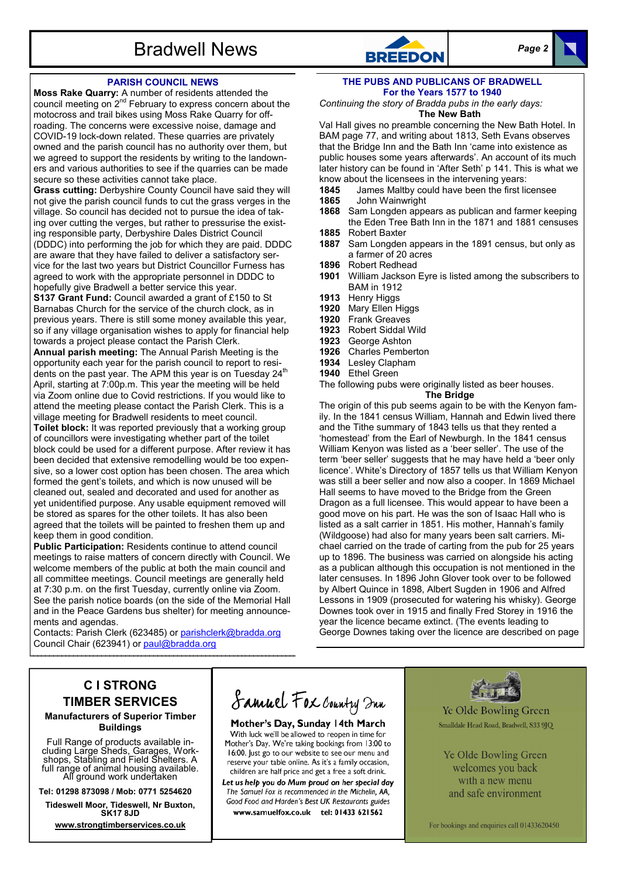

#### PARISH COUNCIL NEWS

Moss Rake Quarry: A number of residents attended the council meeting on  $2^{nd}$  February to express concern about the motocross and trail bikes using Moss Rake Quarry for offroading. The concerns were excessive noise, damage and COVID-19 lock-down related. These quarries are privately owned and the parish council has no authority over them, but we agreed to support the residents by writing to the landowners and various authorities to see if the quarries can be made secure so these activities cannot take place.

Grass cutting: Derbyshire County Council have said they will not give the parish council funds to cut the grass verges in the village. So council has decided not to pursue the idea of taking over cutting the verges, but rather to pressurise the existing responsible party, Derbyshire Dales District Council (DDDC) into performing the job for which they are paid. DDDC are aware that they have failed to deliver a satisfactory service for the last two years but District Councillor Furness has agreed to work with the appropriate personnel in DDDC to hopefully give Bradwell a better service this year.

S137 Grant Fund: Council awarded a grant of £150 to St Barnabas Church for the service of the church clock, as in previous years. There is still some money available this year, so if any village organisation wishes to apply for financial help towards a project please contact the Parish Clerk.

Annual parish meeting: The Annual Parish Meeting is the opportunity each year for the parish council to report to residents on the past year. The APM this year is on Tuesday 24<sup>th</sup> April, starting at 7:00p.m. This year the meeting will be held via Zoom online due to Covid restrictions. If you would like to attend the meeting please contact the Parish Clerk. This is a village meeting for Bradwell residents to meet council.

Toilet block: It was reported previously that a working group of councillors were investigating whether part of the toilet block could be used for a different purpose. After review it has been decided that extensive remodelling would be too expensive, so a lower cost option has been chosen. The area which formed the gent's toilets, and which is now unused will be cleaned out, sealed and decorated and used for another as yet unidentified purpose. Any usable equipment removed will be stored as spares for the other toilets. It has also been agreed that the toilets will be painted to freshen them up and keep them in good condition.

Public Participation: Residents continue to attend council meetings to raise matters of concern directly with Council. We welcome members of the public at both the main council and all committee meetings. Council meetings are generally held at 7:30 p.m. on the first Tuesday, currently online via Zoom. See the parish notice boards (on the side of the Memorial Hall and in the Peace Gardens bus shelter) for meeting announcements and agendas.

Contacts: Parish Clerk (623485) or parishclerk@bradda.org Council Chair (623941) or paul@bradda.org

#### THE PUBS AND PUBLICANS OF BRADWELL For the Years 1577 to 1940

Continuing the story of Bradda pubs in the early days: The New Bath

Val Hall gives no preamble concerning the New Bath Hotel. In BAM page 77, and writing about 1813, Seth Evans observes that the Bridge Inn and the Bath Inn 'came into existence as public houses some years afterwards'. An account of its much later history can be found in 'After Seth' p 141. This is what we know about the licensees in the intervening years:<br>**1845** James Maltby could have been the first lic

- 1845 James Maltby could have been the first licensee<br>1865 John Wainwright
- 1865 John Wainwright<br>1868 Sam Longden appe
- Sam Longden appears as publican and farmer keeping the Eden Tree Bath Inn in the 1871 and 1881 censuses
- 1885 Robert Baxter<br>1887 Sam Longden
- Sam Longden appears in the 1891 census, but only as a farmer of 20 acres
- 1896 Robert Redhead<br>1901 William Jackson
- William Jackson Eyre is listed among the subscribers to BAM in 1912
- 1913 Henry Higgs
- 1920 Mary Ellen Higgs
- 1920 Frank Greaves
- 1923 Robert Siddal Wild<br>1923 George Ashton
- George Ashton
- 1926 Charles Pemberton
- 1934 Lesley Clapham
- 1940 Ethel Green

The following pubs were originally listed as beer houses.

The Bridge The origin of this pub seems again to be with the Kenyon family. In the 1841 census William, Hannah and Edwin lived there and the Tithe summary of 1843 tells us that they rented a 'homestead' from the Earl of Newburgh. In the 1841 census William Kenyon was listed as a 'beer seller'. The use of the term 'beer seller' suggests that he may have held a 'beer only licence'. White's Directory of 1857 tells us that William Kenyon was still a beer seller and now also a cooper. In 1869 Michael Hall seems to have moved to the Bridge from the Green Dragon as a full licensee. This would appear to have been a good move on his part. He was the son of Isaac Hall who is listed as a salt carrier in 1851. His mother, Hannah's family (Wildgoose) had also for many years been salt carriers. Michael carried on the trade of carting from the pub for 25 years up to 1896. The business was carried on alongside his acting as a publican although this occupation is not mentioned in the later censuses. In 1896 John Glover took over to be followed by Albert Quince in 1898, Albert Sugden in 1906 and Alfred Lessons in 1909 (prosecuted for watering his whisky). George Downes took over in 1915 and finally Fred Storey in 1916 the year the licence became extinct. (The events leading to George Downes taking over the licence are described on page

#### C I STRONG TIMBER SERVICES Manufacturers of Superior Timber

Buildings

Full Range of products available including Large Sheds, Garages, Workshops, Stabling and Field Shelters. A full range of animal housing available. All ground work undertaken

Tel: 01298 873098 / Mob: 0771 5254620

Tideswell Moor, Tideswell, Nr Buxton, SK17 8JD

www.strongtimberservices.co.uk

## Samuel Fox Country Inn

Mother's Day, Sunday 14th March With luck we'll be allowed to reopen in time for Mother's Day. We're taking bookings from 13:00 to 16:00. Just go to our website to see our menu and reserve your table online. As it's a family occasion, children are half price and get a free a soft drink.

Let us help you do Mum proud on her special day The Samuel Fox is recommended in the Michelin, AA, Good Food and Harden's Best UK Restaurants guides www.samuelfox.co.uk tel: 01433 621562



Ye Olde Bowling Green Smalldale Head Road, Bradwell, S33 9JQ

Ye Olde Bowling Green welcomes you back with a new menu and safe environment

For bookings and enquiries call 01433620450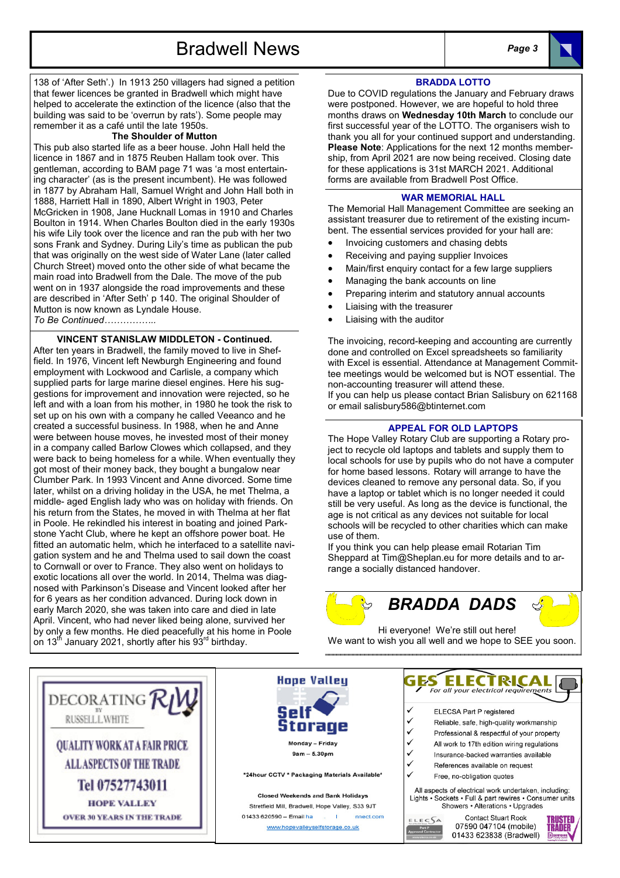Bradwell News Page 3

138 of 'After Seth'.) In 1913 250 villagers had signed a petition that fewer licences be granted in Bradwell which might have helped to accelerate the extinction of the licence (also that the building was said to be 'overrun by rats'). Some people may remember it as a café until the late 1950s.

#### The Shoulder of Mutton

This pub also started life as a beer house. John Hall held the licence in 1867 and in 1875 Reuben Hallam took over. This gentleman, according to BAM page 71 was 'a most entertaining character' (as is the present incumbent). He was followed in 1877 by Abraham Hall, Samuel Wright and John Hall both in 1888, Harriett Hall in 1890, Albert Wright in 1903, Peter McGricken in 1908, Jane Hucknall Lomas in 1910 and Charles Boulton in 1914. When Charles Boulton died in the early 1930s his wife Lily took over the licence and ran the pub with her two sons Frank and Sydney. During Lily's time as publican the pub that was originally on the west side of Water Lane (later called Church Street) moved onto the other side of what became the main road into Bradwell from the Dale. The move of the pub went on in 1937 alongside the road improvements and these are described in 'After Seth' p 140. The original Shoulder of Mutton is now known as Lyndale House.

To Be Continued..

#### VINCENT STANISLAW MIDDLETON - Continued.

After ten years in Bradwell, the family moved to live in Sheffield. In 1976, Vincent left Newburgh Engineering and found employment with Lockwood and Carlisle, a company which supplied parts for large marine diesel engines. Here his suggestions for improvement and innovation were rejected, so he left and with a loan from his mother, in 1980 he took the risk to set up on his own with a company he called Veeanco and he created a successful business. In 1988, when he and Anne were between house moves, he invested most of their money in a company called Barlow Clowes which collapsed, and they were back to being homeless for a while. When eventually they got most of their money back, they bought a bungalow near Clumber Park. In 1993 Vincent and Anne divorced. Some time later, whilst on a driving holiday in the USA, he met Thelma, a middle- aged English lady who was on holiday with friends. On his return from the States, he moved in with Thelma at her flat in Poole. He rekindled his interest in boating and joined Parkstone Yacht Club, where he kept an offshore power boat. He fitted an automatic helm, which he interfaced to a satellite navigation system and he and Thelma used to sail down the coast to Cornwall or over to France. They also went on holidays to exotic locations all over the world. In 2014, Thelma was diagnosed with Parkinson's Disease and Vincent looked after her for 6 years as her condition advanced. During lock down in early March 2020, she was taken into care and died in late April. Vincent, who had never liked being alone, survived her by only a few months. He died peacefully at his home in Poole on 13<sup>th</sup> January 2021, shortly after his 93<sup>rd</sup> birthday.

#### BRADDA LOTTO

Due to COVID regulations the January and February draws were postponed. However, we are hopeful to hold three months draws on Wednesday 10th March to conclude our first successful year of the LOTTO. The organisers wish to thank you all for your continued support and understanding. Please Note: Applications for the next 12 months membership, from April 2021 are now being received. Closing date for these applications is 31st MARCH 2021. Additional forms are available from Bradwell Post Office.

#### WAR MEMORIAL HALL

The Memorial Hall Management Committee are seeking an assistant treasurer due to retirement of the existing incumbent. The essential services provided for your hall are:

- Invoicing customers and chasing debts
- Receiving and paying supplier Invoices
- Main/first enquiry contact for a few large suppliers
- Managing the bank accounts on line
- Preparing interim and statutory annual accounts
- Liaising with the treasurer
- Liaising with the auditor

The invoicing, record-keeping and accounting are currently done and controlled on Excel spreadsheets so familiarity with Excel is essential. Attendance at Management Committee meetings would be welcomed but is NOT essential. The non-accounting treasurer will attend these.

If you can help us please contact Brian Salisbury on 621168 or email salisbury586@btinternet.com

#### APPEAL FOR OLD LAPTOPS

The Hope Valley Rotary Club are supporting a Rotary project to recycle old laptops and tablets and supply them to local schools for use by pupils who do not have a computer for home based lessons. Rotary will arrange to have the devices cleaned to remove any personal data. So, if you have a laptop or tablet which is no longer needed it could still be very useful. As long as the device is functional, the age is not critical as any devices not suitable for local schools will be recycled to other charities which can make use of them.

If you think you can help please email Rotarian Tim Sheppard at Tim@Sheplan.eu for more details and to arrange a socially distanced handover.



Hi everyone! We're still out here! We want to wish you all well and we hope to SEE you soon.